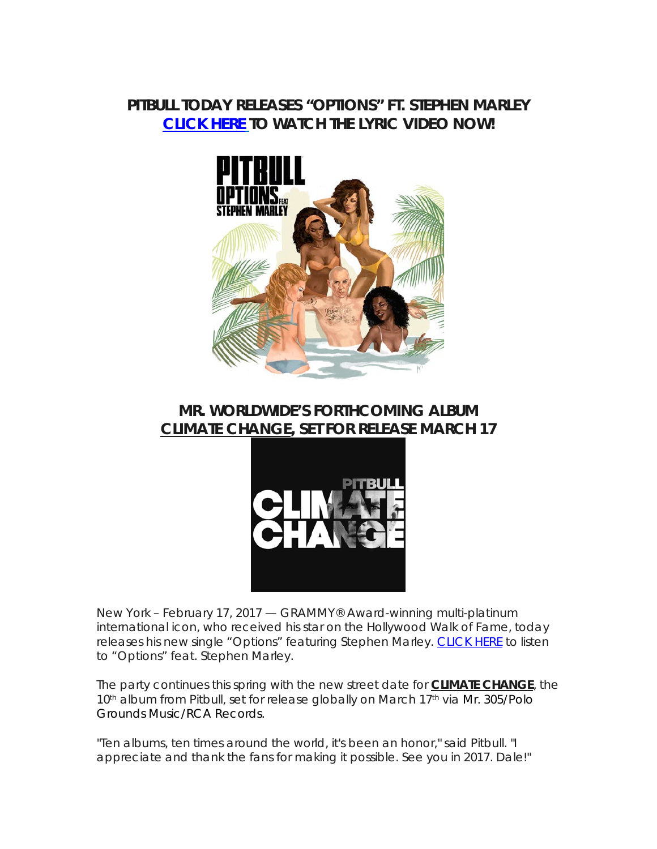## **PITBULL TODAY RELEASES "OPTIONS" FT. STEPHEN MARLEY [CLICK HERE](http://smarturl.it/OPTIONSlv) TO WATCH THE LYRIC VIDEO NOW!**



## **MR. WORLDWIDE'S FORTHCOMING ALBUM** *CLIMATE CHANGE***, SET FOR RELEASE MARCH 17**



New York – February 17, 2017 — GRAMMY® Award-winning multi-platinum international icon, who received his star on the Hollywood Walk of Fame, today releases his new single "Options" featuring Stephen Marley. [CLICK HERE](http://smarturl.it/OPTIONSlv) to listen to "Options" feat. Stephen Marley.

The party continues this spring with the new street date for *CLIMATE CHANGE*, the 10<sup>th</sup> album from Pitbull, set for release globally on March 17<sup>th</sup> via Mr. 305/Polo Grounds Music/RCA Records.

"Ten albums, ten times around the world, it's been an honor," said Pitbull. "I appreciate and thank the fans for making it possible. See you in 2017. Dale!"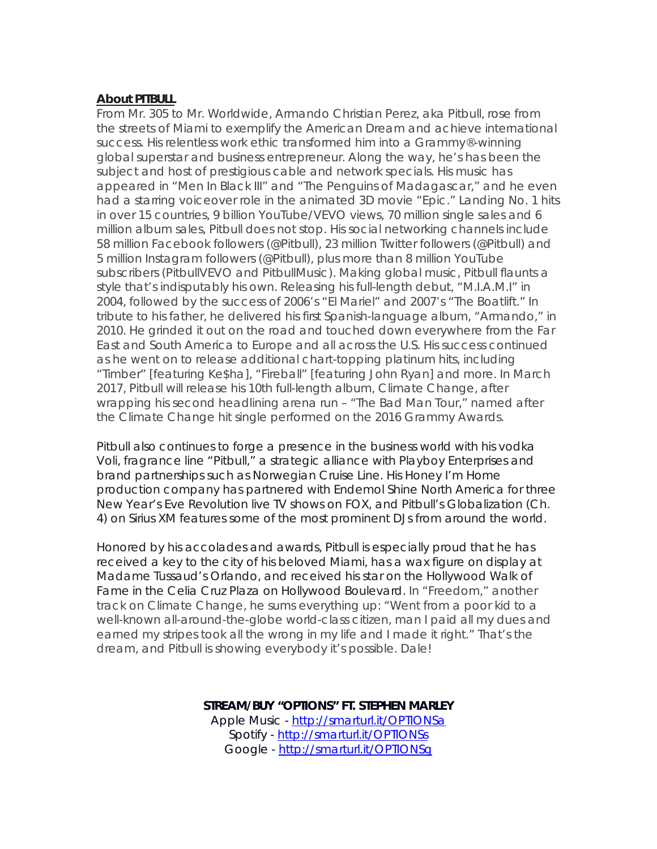## **About PITBULL**

From Mr. 305 to Mr. Worldwide, Armando Christian Perez, aka Pitbull, rose from the streets of Miami to exemplify the American Dream and achieve international success. His relentless work ethic transformed him into a Grammy®-winning global superstar and business entrepreneur. Along the way, he's has been the subject and host of prestigious cable and network specials. His music has appeared in "Men In Black III" and "The Penguins of Madagascar," and he even had a starring voiceover role in the animated 3D movie "Epic." Landing No. 1 hits in over 15 countries, 9 billion YouTube/VEVO views, 70 million single sales and 6 million album sales, Pitbull does not stop. His social networking channels include 58 million Facebook followers (@Pitbull), 23 million Twitter followers (@Pitbull) and 5 million Instagram followers (@Pitbull), plus more than 8 million YouTube subscribers (PitbullVEVO and PitbullMusic). Making global music, Pitbull flaunts a style that's indisputably his own. Releasing his full-length debut, "M.I.A.M.I" in 2004, followed by the success of 2006's "El Mariel" and 2007's "The Boatlift." In tribute to his father, he delivered his first Spanish-language album, "Armando," in 2010. He grinded it out on the road and touched down everywhere from the Far East and South America to Europe and all across the U.S. His success continued as he went on to release additional chart-topping platinum hits, including "Timber" [featuring Ke\$ha], "Fireball" [featuring John Ryan] and more. In March 2017, Pitbull will release his 10th full-length album, *Climate Change*, after wrapping his second headlining arena run – "The Bad Man Tour," named after the *Climate Change* hit single performed on the 2016 Grammy Awards.

Pitbull also continues to forge a presence in the business world with his vodka Voli, fragrance line "Pitbull," a strategic alliance with Playboy Enterprises and brand partnerships such as Norwegian Cruise Line. His Honey I'm Home production company has partnered with Endemol Shine North America for three New Year's Eve Revolution live TV shows on FOX, and Pitbull's Globalization (Ch. 4) on Sirius XM features some of the most prominent DJs from around the world.

Honored by his accolades and awards, Pitbull is especially proud that he has received a key to the city of his beloved Miami, has a wax figure on display at Madame Tussaud's Orlando, and received his star on the Hollywood Walk of Fame in the Celia Cruz Plaza on Hollywood Boulevard. In "Freedom," another track on *Climate Change*, he sums everything up: "Went from a poor kid to a well-known all-around-the-globe world-class citizen, man I paid all my dues and earned my stripes took all the wrong in my life and I made it right." That's the dream, and Pitbull is showing everybody it's possible. Dale!

## **STREAM/BUY "OPTIONS" FT. STEPHEN MARLEY**

Apple Music - <http://smarturl.it/OPTIONSa> Spotify - <http://smarturl.it/OPTIONSs> Google - <http://smarturl.it/OPTIONSg>